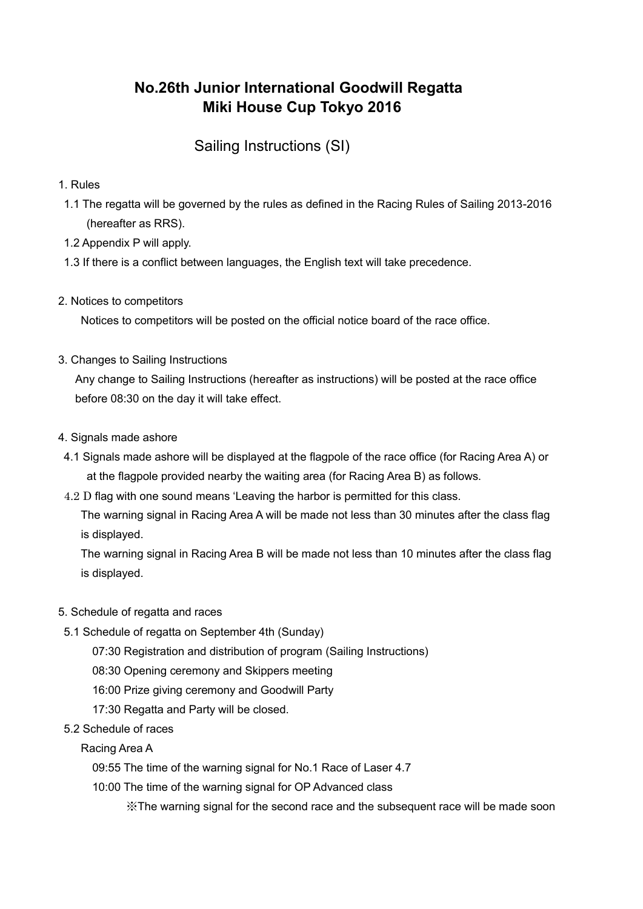# **No.26th Junior International Goodwill Regatta Miki House Cup Tokyo 2016**

## Sailing Instructions (SI)

- 1. Rules
- 1.1 The regatta will be governed by the rules as defined in the Racing Rules of Sailing 2013-2016 (hereafter as RRS).
- 1.2 Appendix P will apply.
- 1.3 If there is a conflict between languages, the English text will take precedence.
- 2. Notices to competitors

Notices to competitors will be posted on the official notice board of the race office.

3. Changes to Sailing Instructions

 Any change to Sailing Instructions (hereafter as instructions) will be posted at the race office before 08:30 on the day it will take effect.

- 4. Signals made ashore
- 4.1 Signals made ashore will be displayed at the flagpole of the race office (for Racing Area A) or at the flagpole provided nearby the waiting area (for Racing Area B) as follows.
- 4.2 D flag with one sound means 'Leaving the harbor is permitted for this class.

 The warning signal in Racing Area A will be made not less than 30 minutes after the class flag is displayed.

 The warning signal in Racing Area B will be made not less than 10 minutes after the class flag is displayed.

- 5. Schedule of regatta and races
- 5.1 Schedule of regatta on September 4th (Sunday)
	- 07:30 Registration and distribution of program (Sailing Instructions)
	- 08:30 Opening ceremony and Skippers meeting
	- 16:00 Prize giving ceremony and Goodwill Party
	- 17:30 Regatta and Party will be closed.
- 5.2 Schedule of races

Racing Area A

- 09:55 The time of the warning signal for No.1 Race of Laser 4.7
- 10:00 The time of the warning signal for OP Advanced class

※The warning signal for the second race and the subsequent race will be made soon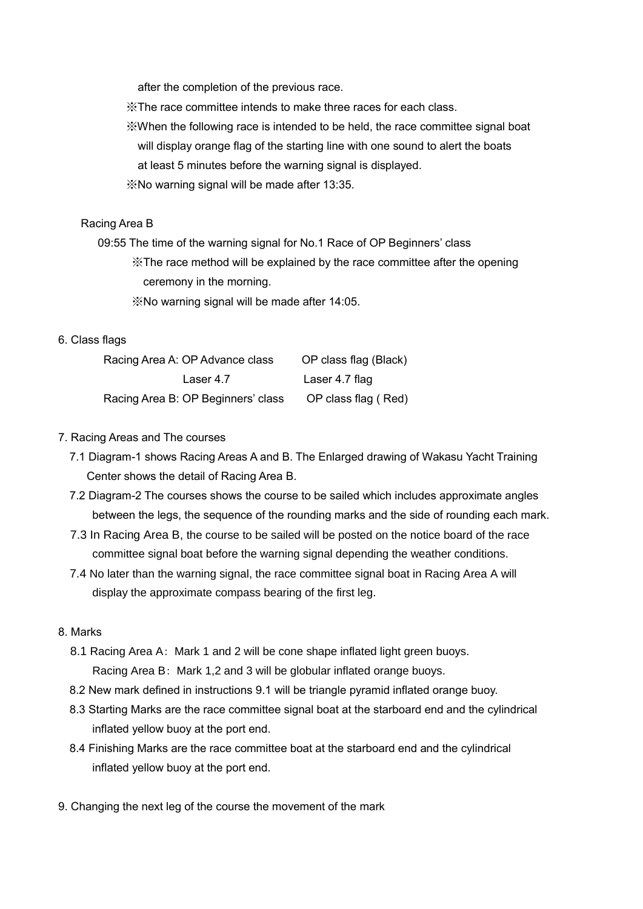after the completion of the previous race.

※The race committee intends to make three races for each class.

- ※When the following race is intended to be held, the race committee signal boat will display orange flag of the starting line with one sound to alert the boats at least 5 minutes before the warning signal is displayed.
- ※No warning signal will be made after 13:35.

## Racing Area B

 09:55 The time of the warning signal for No.1 Race of OP Beginners' class ※The race method will be explained by the race committee after the opening ceremony in the morning.

※No warning signal will be made after 14:05.

## 6. Class flags

| Racing Area A: OP Advance class    | OP class flag (Black) |
|------------------------------------|-----------------------|
| Laser 4.7                          | Laser 4.7 flag        |
| Racing Area B: OP Beginners' class | OP class flag (Red)   |

## 7. Racing Areas and The courses

- 7.1 Diagram-1 shows Racing Areas A and B. The Enlarged drawing of Wakasu Yacht Training Center shows the detail of Racing Area B.
- 7.2 Diagram-2 The courses shows the course to be sailed which includes approximate angles between the legs, the sequence of the rounding marks and the side of rounding each mark.
- 7.3 In Racing Area B, the course to be sailed will be posted on the notice board of the race committee signal boat before the warning signal depending the weather conditions.
- 7.4 No later than the warning signal, the race committee signal boat in Racing Area A will display the approximate compass bearing of the first leg.

#### 8. Marks

- 8.1 Racing Area A: Mark 1 and 2 will be cone shape inflated light green buoys. Racing Area B: Mark 1,2 and 3 will be globular inflated orange buoys.
- 8.2 New mark defined in instructions 9.1 will be triangle pyramid inflated orange buoy.
- 8.3 Starting Marks are the race committee signal boat at the starboard end and the cylindrical inflated yellow buoy at the port end.
- 8.4 Finishing Marks are the race committee boat at the starboard end and the cylindrical inflated yellow buoy at the port end.
- 9. Changing the next leg of the course the movement of the mark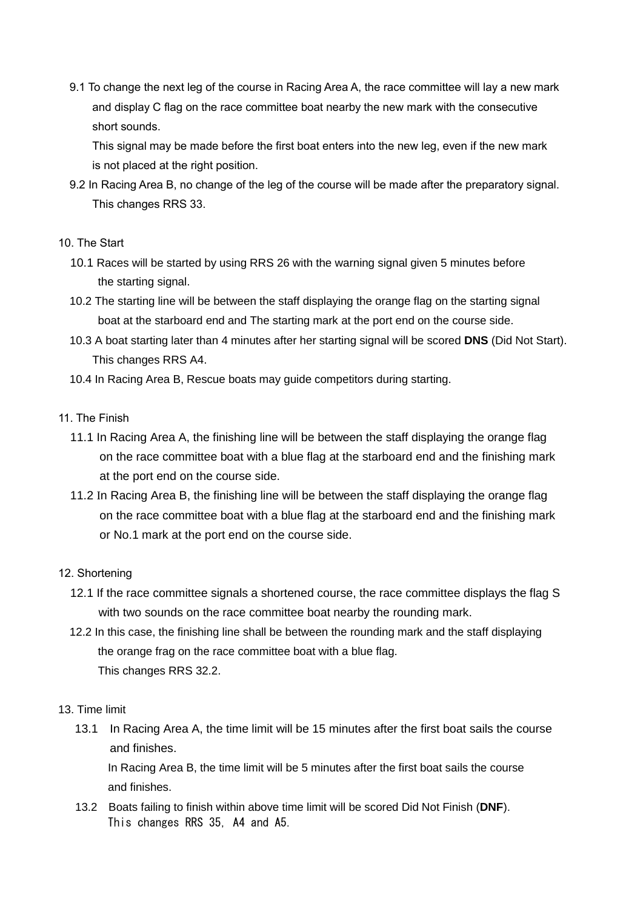9.1 To change the next leg of the course in Racing Area A, the race committee will lay a new mark and display C flag on the race committee boat nearby the new mark with the consecutive short sounds.

This signal may be made before the first boat enters into the new leg, even if the new mark is not placed at the right position.

 9.2 In Racing Area B, no change of the leg of the course will be made after the preparatory signal. This changes RRS 33.

## 10. The Start

- 10.1 Races will be started by using RRS 26 with the warning signal given 5 minutes before the starting signal.
- 10.2 The starting line will be between the staff displaying the orange flag on the starting signal boat at the starboard end and The starting mark at the port end on the course side.
- 10.3 A boat starting later than 4 minutes after her starting signal will be scored **DNS** (Did Not Start). This changes RRS A4.

10.4 In Racing Area B, Rescue boats may guide competitors during starting.

## 11. The Finish

- 11.1 In Racing Area A, the finishing line will be between the staff displaying the orange flag on the race committee boat with a blue flag at the starboard end and the finishing mark at the port end on the course side.
- 11.2 In Racing Area B, the finishing line will be between the staff displaying the orange flag on the race committee boat with a blue flag at the starboard end and the finishing mark or No.1 mark at the port end on the course side.

## 12. Shortening

- 12.1 If the race committee signals a shortened course, the race committee displays the flag S with two sounds on the race committee boat nearby the rounding mark.
- 12.2 In this case, the finishing line shall be between the rounding mark and the staff displaying the orange frag on the race committee boat with a blue flag. This changes RRS 32.2.

## 13. Time limit

13.1 In Racing Area A, the time limit will be 15 minutes after the first boat sails the course and finishes.

In Racing Area B, the time limit will be 5 minutes after the first boat sails the course and finishes.

13.2 Boats failing to finish within above time limit will be scored Did Not Finish (**DNF**). This changes RRS 35, A4 and A5.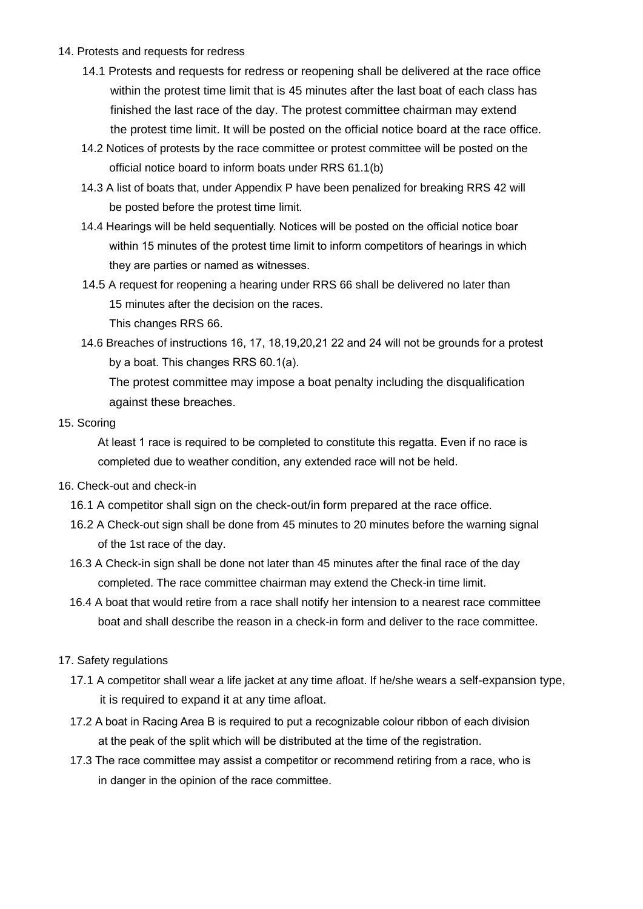- 14. Protests and requests for redress
	- 14.1 Protests and requests for redress or reopening shall be delivered at the race office within the protest time limit that is 45 minutes after the last boat of each class has finished the last race of the day. The protest committee chairman may extend the protest time limit. It will be posted on the official notice board at the race office.
	- 14.2 Notices of protests by the race committee or protest committee will be posted on the official notice board to inform boats under RRS 61.1(b)
	- 14.3 A list of boats that, under Appendix P have been penalized for breaking RRS 42 will be posted before the protest time limit.
	- 14.4 Hearings will be held sequentially. Notices will be posted on the official notice boar within 15 minutes of the protest time limit to inform competitors of hearings in which they are parties or named as witnesses.
	- 14.5 A request for reopening a hearing under RRS 66 shall be delivered no later than 15 minutes after the decision on the races.

This changes RRS 66.

14.6 Breaches of instructions 16, 17, 18,19,20,21 22 and 24 will not be grounds for a protest by a boat. This changes RRS 60.1(a).

The protest committee may impose a boat penalty including the disqualification against these breaches.

## 15. Scoring

At least 1 race is required to be completed to constitute this regatta. Even if no race is completed due to weather condition, any extended race will not be held.

- 16. Check-out and check-in
	- 16.1 A competitor shall sign on the check-out/in form prepared at the race office.
	- 16.2 A Check-out sign shall be done from 45 minutes to 20 minutes before the warning signal of the 1st race of the day.
	- 16.3 A Check-in sign shall be done not later than 45 minutes after the final race of the day completed. The race committee chairman may extend the Check-in time limit.
	- 16.4 A boat that would retire from a race shall notify her intension to a nearest race committee boat and shall describe the reason in a check-in form and deliver to the race committee.
- 17. Safety regulations
	- 17.1 A competitor shall wear a life jacket at any time afloat. If he/she wears a self-expansion type, it is required to expand it at any time afloat.
	- 17.2 A boat in Racing Area B is required to put a recognizable colour ribbon of each division at the peak of the split which will be distributed at the time of the registration.
	- 17.3 The race committee may assist a competitor or recommend retiring from a race, who is in danger in the opinion of the race committee.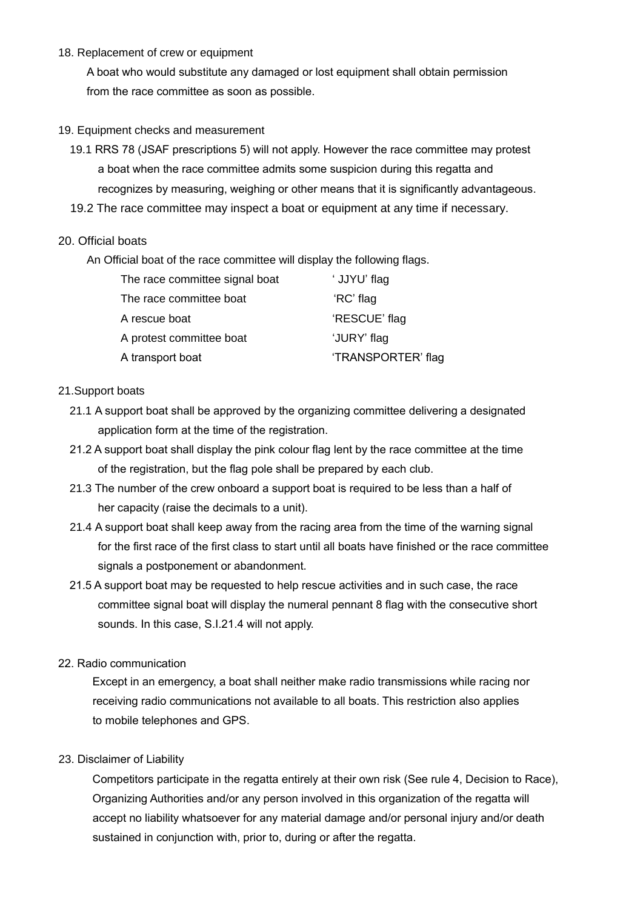## 18. Replacement of crew or equipment

A boat who would substitute any damaged or lost equipment shall obtain permission from the race committee as soon as possible.

#### 19. Equipment checks and measurement

- 19.1 RRS 78 (JSAF prescriptions 5) will not apply. However the race committee may protest a boat when the race committee admits some suspicion during this regatta and recognizes by measuring, weighing or other means that it is significantly advantageous.
- 19.2 The race committee may inspect a boat or equipment at any time if necessary.

## 20. Official boats

An Official boat of the race committee will display the following flags.

| The race committee signal boat | ' JJYU' flag       |
|--------------------------------|--------------------|
| The race committee boat        | 'RC' flag          |
| A rescue boat                  | 'RESCUE' flag      |
| A protest committee boat       | 'JURY' flag        |
| A transport boat               | 'TRANSPORTER' flag |

## 21.Support boats

- 21.1 A support boat shall be approved by the organizing committee delivering a designated application form at the time of the registration.
- 21.2 A support boat shall display the pink colour flag lent by the race committee at the time of the registration, but the flag pole shall be prepared by each club.
- 21.3 The number of the crew onboard a support boat is required to be less than a half of her capacity (raise the decimals to a unit).
- 21.4 A support boat shall keep away from the racing area from the time of the warning signal for the first race of the first class to start until all boats have finished or the race committee signals a postponement or abandonment.
- 21.5 A support boat may be requested to help rescue activities and in such case, the race committee signal boat will display the numeral pennant 8 flag with the consecutive short sounds. In this case, S.I.21.4 will not apply.

#### 22. Radio communication

Except in an emergency, a boat shall neither make radio transmissions while racing nor receiving radio communications not available to all boats. This restriction also applies to mobile telephones and GPS.

#### 23. Disclaimer of Liability

Competitors participate in the regatta entirely at their own risk (See rule 4, Decision to Race), Organizing Authorities and/or any person involved in this organization of the regatta will accept no liability whatsoever for any material damage and/or personal injury and/or death sustained in conjunction with, prior to, during or after the regatta.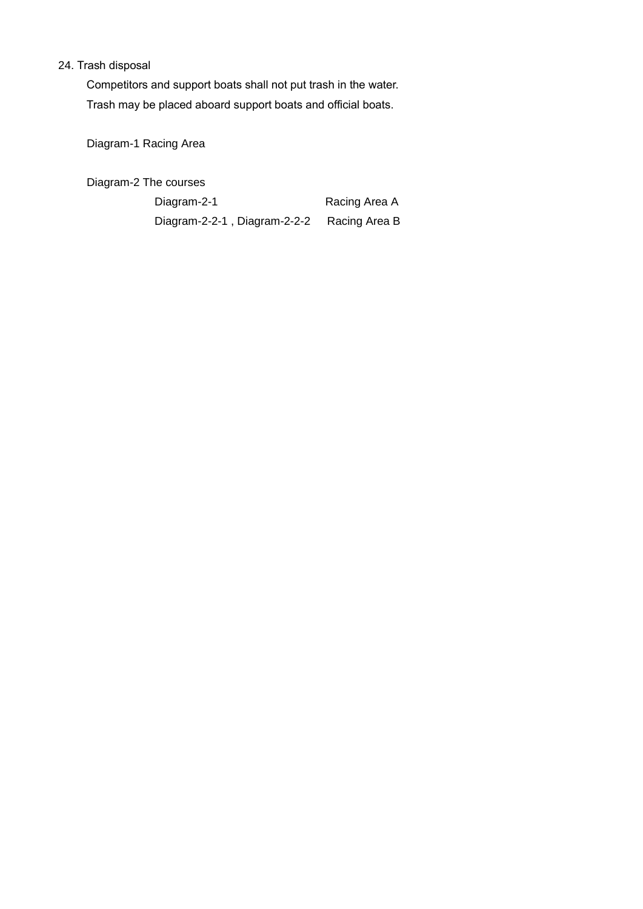## 24. Trash disposal

Competitors and support boats shall not put trash in the water. Trash may be placed aboard support boats and official boats.

Diagram-1 Racing Area

Diagram-2 The courses

Diagram-2-1 Racing Area A Diagram-2-2-1 , Diagram-2-2-2 Racing Area B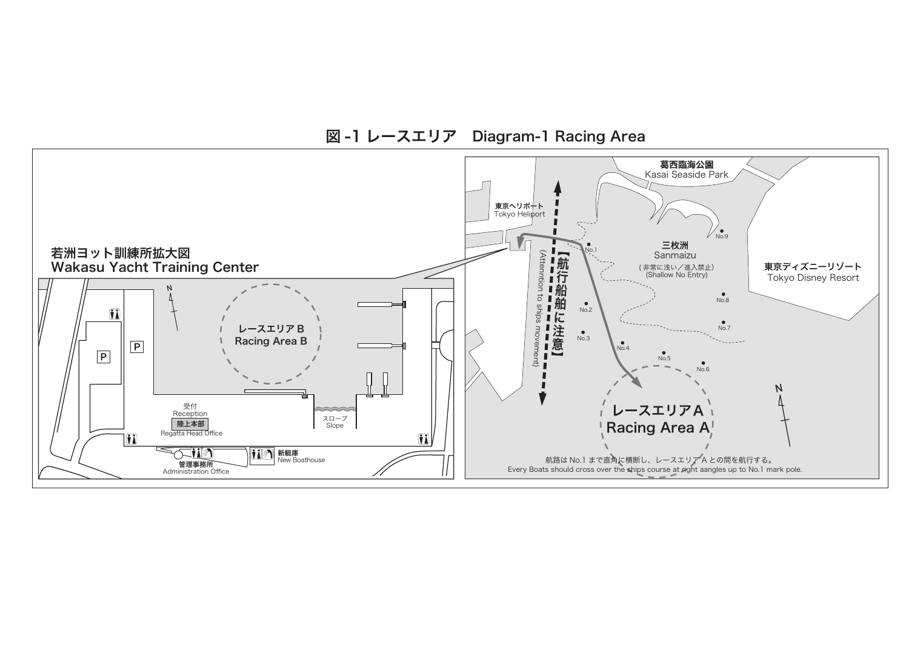

図 -1 レースエリア Diagram-1 Racing Area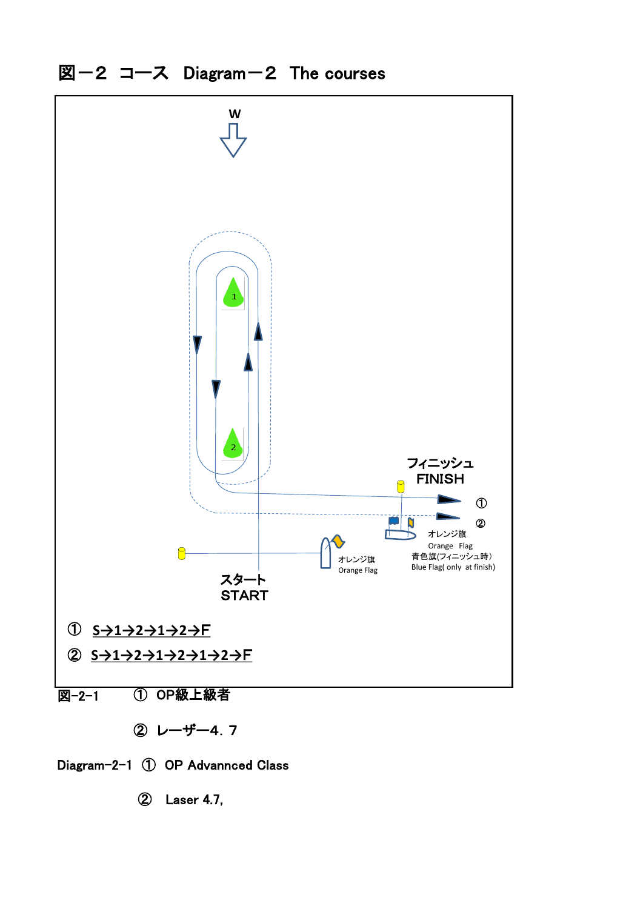



② Laser 4.7,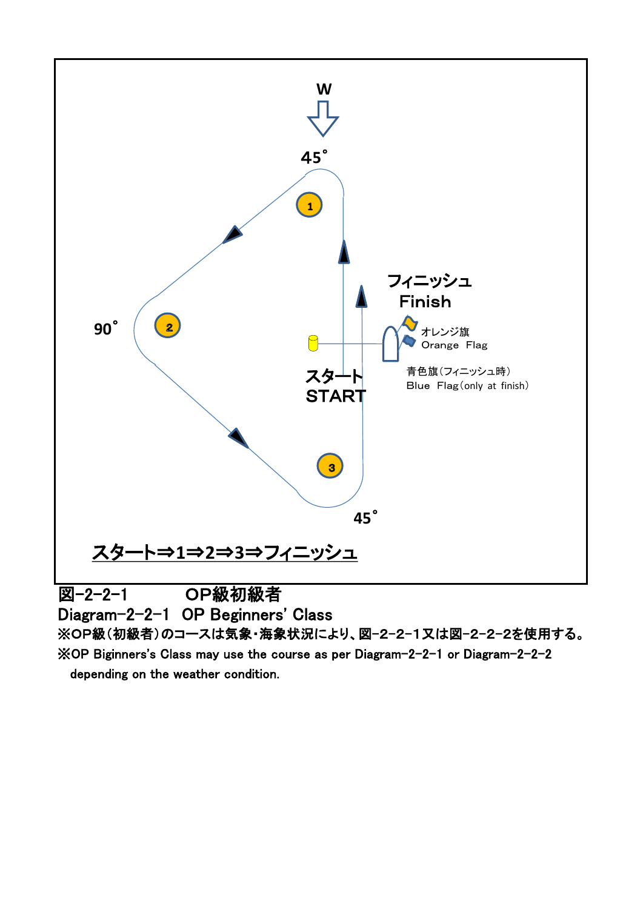

※OP Biginners's Class may use the course as per Diagram-2-2-1 or Diagram-2-2-2 depending on the weather condition.